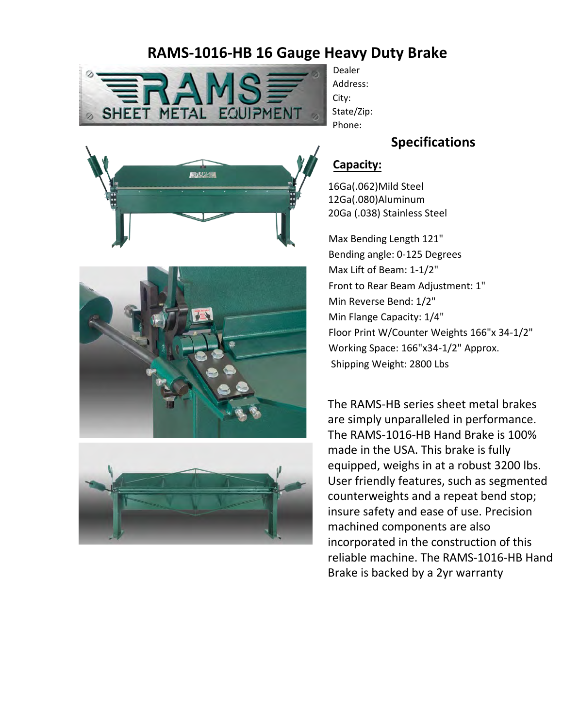# **RAMS-1016-HB 16 Gauge Heavy Duty Brake**



Dealer Address: City: State/Zip: Phone:

#### **Specifications**







# **Capacity:**

16Ga(.062)Mild Steel 12Ga(.080)Aluminum 20Ga (.038) Stainless Steel

Max Bending Length 121" Bending angle: 0-125 Degrees Max Lift of Beam: 1-1/2" Front to Rear Beam Adjustment: 1" Min Reverse Bend: 1/2" Min Flange Capacity: 1/4" Floor Print W/Counter Weights 166"x 34-1/2" Working Space: 166"x34-1/2" Approx. Shipping Weight: 2800 Lbs

The RAMS-HB series sheet metal brakes are simply unparalleled in performance. The RAMS-1016-HB Hand Brake is 100% made in the USA. This brake is fully equipped, weighs in at a robust 3200 lbs. User friendly features, such as segmented counterweights and a repeat bend stop; insure safety and ease of use. Precision machined components are also incorporated in the construction of this reliable machine. The RAMS-1016-HB Hand Brake is backed by a 2yr warranty